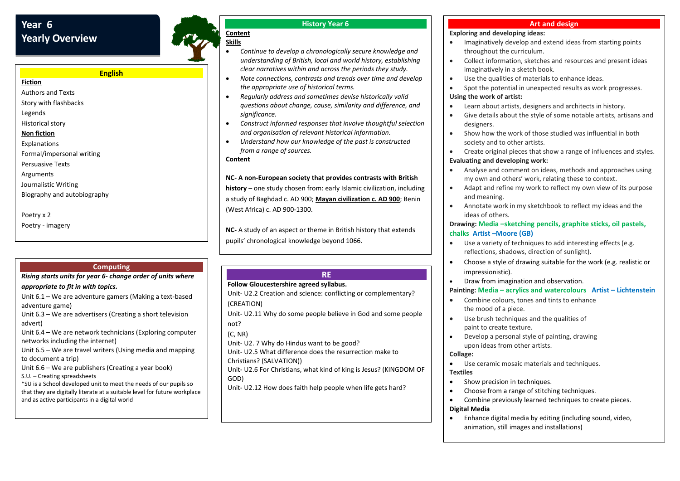# **Year 6 Yearly Overview**

#### **English**

#### **Fiction**

Authors and Texts

Story with flashbacks

Legends

Historical story

#### **Non fiction**

Explanations

Formal/impersonal writing

Persuasive Texts

Arguments

Journalistic Writing

Biography and autobiography

Poetry x 2 Poetry - imagery

### **Computing**

*Rising starts units for year 6- change order of units where appropriate to fit in with topics.*

- Unit 6.1 We are adventure gamers (Making a text-based adventure game)
- Unit 6.3 We are advertisers (Creating a short television advert)

Unit 6.4 – We are network technicians (Exploring computer networks including the internet)

Unit 6.5 – We are travel writers (Using media and mapping to document a trip)

Unit 6.6 – We are publishers (Creating a year book) S.U. – Creating spreadsheets

\*SU is a School developed unit to meet the needs of our pupils so that they are digitally literate at a suitable level for future workplace and as active participants in a digital world

# *Continue to develop a chronologically secure knowledge and understanding of British, local and world history, establishing clear narratives within and across the periods they study.*

 *Note connections, contrasts and trends over time and develop the appropriate use of historical terms.*

**History Year 6**

- *Regularly address and sometimes devise historically valid questions about change, cause, similarity and difference, and significance.*
- *Construct informed responses that involve thoughtful selection and organisation of relevant historical information.*
- *Understand how our knowledge of the past is constructed from a range of sources.*

**Content** 

#### **NC- A non-European society that provides contrasts with British**

**history** – one study chosen from: early Islamic civilization, including a study of Baghdad c. AD 900; **Mayan civilization c. AD 900**; Benin (West Africa) c. AD 900-1300.

**NC-** A study of an aspect or theme in British history that extends pupils' chronological knowledge beyond 1066.

#### **Follow Gloucestershire agreed syllabus.**

Unit- U2.2 Creation and science: conflicting or complementary? (CREATION)

Unit- U2.11 Why do some people believe in God and some people not?

**RE**

### (C, NR)

Unit- U2. 7 Why do Hindus want to be good?

Unit- U2.5 What difference does the resurrection make to

#### Christians? (SALVATION))

Unit- U2.6 For Christians, what kind of king is Jesus? (KINGDOM OF GOD)

Unit- U2.12 How does faith help people when life gets hard?

#### **Art and design**

#### **Exploring and developing ideas:**

- Imaginatively develop and extend ideas from starting points throughout the curriculum.
- Collect information, sketches and resources and present ideas imaginatively in a sketch book.
- Use the qualities of materials to enhance ideas.
- Spot the potential in unexpected results as work progresses.

# **Using the work of artist:**

- Learn about artists, designers and architects in history.
- Give details about the style of some notable artists, artisans and designers.
- Show how the work of those studied was influential in both society and to other artists.
- Create original pieces that show a range of influences and styles.

## **Evaluating and developing work:**

- Analyse and comment on ideas, methods and approaches using my own and others' work, relating these to context.
- Adapt and refine my work to reflect my own view of its purpose and meaning.
- Annotate work in my sketchbook to reflect my ideas and the ideas of others.

#### **Drawing: Media –sketching pencils, graphite sticks, oil pastels, chalks Artist –Moore (GB)**

- Use a variety of techniques to add interesting effects (e.g. reflections, shadows, direction of sunlight).
- Choose a style of drawing suitable for the work (e.g. realistic or impressionistic).
- Draw from imagination and observation.

# **Painting: Media – acrylics and watercolours Artist – Lichtenstein**

- Combine colours, tones and tints to enhance the mood of a piece.
- Use brush techniques and the qualities of paint to create texture.
- Develop a personal style of painting, drawing upon ideas from other artists.

#### **Collage:**

- Use ceramic mosaic materials and techniques. **Textiles**
- Show precision in techniques.
- Choose from a range of stitching techniques.
- Combine previously learned techniques to create pieces.

#### **Digital Media**

 Enhance digital media by editing (including sound, video, animation, still images and installations)

# **Content Skills**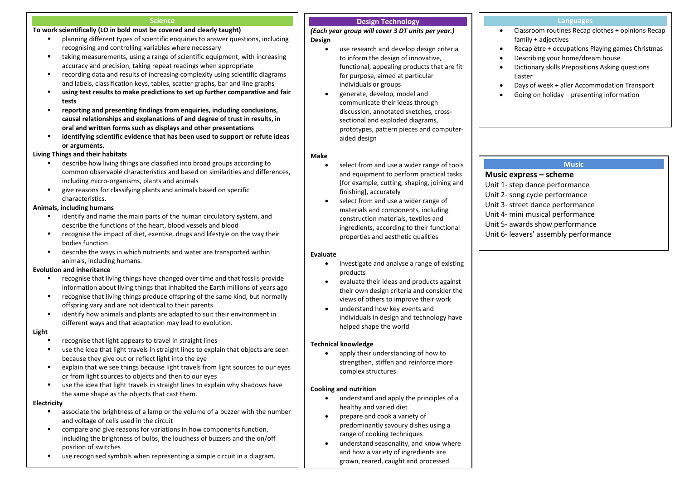#### **Science**

#### **To work scientifically (LO in bold must be covered and clearly taught)**

- planning different types of scientific enquiries to answer questions, including recognising and controlling variables where necessary
- taking measurements, using a range of scientific equipment, with increasing accuracy and precision, taking repeat readings when appropriate
- recording data and results of increasing complexity using scientific diagrams and labels, classification keys, tables, scatter graphs, bar and line graphs
- **using test results to make predictions to set up further comparative and fair tests**
- **reporting and presenting findings from enquiries, including conclusions, causal relationships and explanations of and degree of trust in results, in oral and written forms such as displays and other presentations**
- **identifying scientific evidence that has been used to support or refute ideas or arguments.**

#### **Living Things and their habitats**

- describe how living things are classified into broad groups according to common observable characteristics and based on similarities and differences, including micro-organisms, plants and animals
- give reasons for classifying plants and animals based on specific characteristics.

#### **Animals, including humans**

- identify and name the main parts of the human circulatory system, and describe the functions of the heart, blood vessels and blood
- recognise the impact of diet, exercise, drugs and lifestyle on the way their bodies function
- describe the ways in which nutrients and water are transported within animals, including humans.

#### **Evolution and inheritance**

- recognise that living things have changed over time and that fossils provide information about living things that inhabited the Earth millions of years ago
- recognise that living things produce offspring of the same kind, but normally offspring vary and are not identical to their parents
- identify how animals and plants are adapted to suit their environment in different ways and that adaptation may lead to evolution.

#### **Light**

- recognise that light appears to travel in straight lines
- use the idea that light travels in straight lines to explain that objects are seen because they give out or reflect light into the eye
- explain that we see things because light travels from light sources to our eyes or from light sources to objects and then to our eyes
- use the idea that light travels in straight lines to explain why shadows have the same shape as the objects that cast them.

#### **Electricity**

- associate the brightness of a lamp or the volume of a buzzer with the number and voltage of cells used in the circuit
- compare and give reasons for variations in how components function, including the brightness of bulbs, the loudness of buzzers and the on/off position of switches
- use recognised symbols when representing a simple circuit in a diagram.

# **Design Technology**

#### *(Each year group will cover 3 DT units per year.)* **Design**

- use research and develop design criteria to inform the design of innovative, functional, appealing products that are fit for purpose, aimed at particular individuals or groups
- generate, develop, model and communicate their ideas through discussion, annotated sketches, crosssectional and exploded diagrams, prototypes, pattern pieces and computeraided design

#### **Make**

- select from and use a wider range of tools and equipment to perform practical tasks [for example, cutting, shaping, joining and finishing], accurately
- select from and use a wider range of materials and components, including construction materials, textiles and ingredients, according to their functional properties and aesthetic qualities

#### **Evaluate**

- investigate and analyse a range of existing products
- evaluate their ideas and products against their own design criteria and consider the views of others to improve their work
- understand how key events and individuals in design and technology have helped shape the world

#### **Technical knowledge**

• apply their understanding of how to strengthen, stiffen and reinforce more complex structures

#### **Cooking and nutrition**

- understand and apply the principles of a healthy and varied diet
- prepare and cook a variety of predominantly savoury dishes using a range of cooking techniques
- understand seasonality, and know where and how a variety of ingredients are grown, reared, caught and processed.

#### **Languages**

- Classroom routines Recap clothes + opinions Recap family + adjectives
- Recap être + occupations Playing games Christmas
- Describing your home/dream house
- Dictionary skills Prepositions Asking questions Easter
- Days of week + aller Accommodation Transport
- Going on holiday presenting information

# **Music**

#### **Music express – scheme**  Unit 1- step dance performance Unit 2- song cycle performance Unit 3- street dance performance Unit 4- mini musical performance Unit 5- awards show performance Unit 6- leavers' assembly performance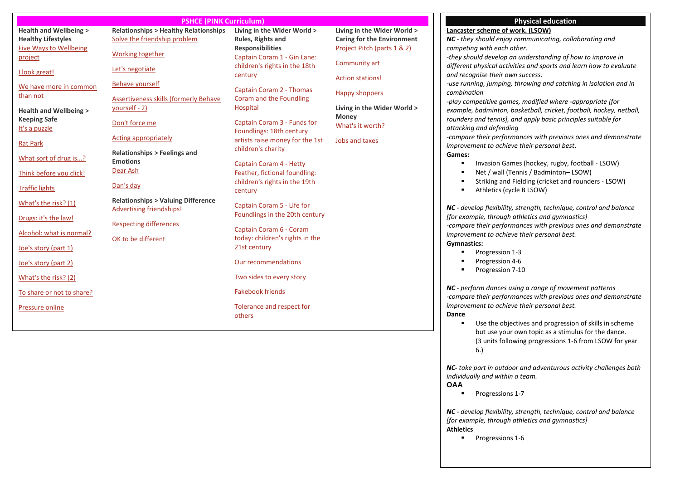| <b>PSHCE (PINK Curriculum)</b>     |                                                 |                                                              |                                   | <b>Physical education</b>                                                                                                        |
|------------------------------------|-------------------------------------------------|--------------------------------------------------------------|-----------------------------------|----------------------------------------------------------------------------------------------------------------------------------|
| <b>Health and Wellbeing &gt;</b>   | <b>Relationships &gt; Healthy Relationships</b> | Living in the Wider World >                                  | Living in the Wider World >       | Lancaster scheme of work. (LSOW)                                                                                                 |
| <b>Healthy Lifestyles</b>          | Solve the friendship problem                    | Rules, Rights and                                            | <b>Caring for the Environment</b> | NC - they should enjoy communicating, collaborating and                                                                          |
| <b>Five Ways to Wellbeing</b>      | Working together                                | <b>Responsibilities</b>                                      | Project Pitch (parts 1 & 2)       | competing with each other.                                                                                                       |
| project                            |                                                 | Captain Coram 1 - Gin Lane:<br>children's rights in the 18th | Community art                     | -they should develop an understanding of how to improve in<br>different physical activities and sports and learn how to evaluate |
| <b>I look great!</b>               | Let's negotiate                                 | century                                                      |                                   | and recognise their own success.                                                                                                 |
|                                    | <b>Behave yourself</b>                          |                                                              | <b>Action stations!</b>           | -use running, jumping, throwing and catching in isolation and in                                                                 |
| We have more in common<br>than not |                                                 | Captain Coram 2 - Thomas                                     | <b>Happy shoppers</b>             | combination                                                                                                                      |
|                                    | <b>Assertiveness skills (formerly Behave</b>    | Coram and the Foundling                                      |                                   | -play competitive games, modified where -appropriate [for                                                                        |
| <b>Health and Wellbeing &gt;</b>   | yourself - 2)                                   | Hospital                                                     | Living in the Wider World >       | example, badminton, basketball, cricket, football, hockey, netball,                                                              |
| <b>Keeping Safe</b>                | Don't force me                                  | Captain Coram 3 - Funds for                                  | <b>Money</b><br>What's it worth?  | rounders and tennis], and apply basic principles suitable for                                                                    |
| It's a puzzle                      |                                                 | Foundlings: 18th century                                     |                                   | attacking and defending                                                                                                          |
| <b>Rat Park</b>                    | Acting appropriately                            | artists raise money for the 1st                              | Jobs and taxes                    | -compare their performances with previous ones and demonstrate                                                                   |
|                                    | <b>Relationships &gt; Feelings and</b>          | children's charity                                           |                                   | improvement to achieve their personal best.<br>Games:                                                                            |
| What sort of drug is?              | <b>Emotions</b>                                 | Captain Coram 4 - Hetty                                      |                                   | Invasion Games (hockey, rugby, football - LSOW)                                                                                  |
| Think before you click!            | Dear Ash                                        | Feather, fictional foundling:                                |                                   | Net / wall (Tennis / Badminton-LSOW)                                                                                             |
|                                    |                                                 | children's rights in the 19th                                |                                   | Striking and Fielding (cricket and rounders - LSOW)                                                                              |
| <b>Traffic lights</b>              | Dan's day                                       | century                                                      |                                   | Athletics (cycle B LSOW)                                                                                                         |
| What's the risk? (1)               | <b>Relationships &gt; Valuing Difference</b>    | Captain Coram 5 - Life for                                   |                                   |                                                                                                                                  |
|                                    | <b>Advertising friendships!</b>                 | Foundlings in the 20th century                               |                                   | NC - develop flexibility, strength, technique, control and balance                                                               |
| Drugs: it's the law!               | <b>Respecting differences</b>                   |                                                              |                                   | [for example, through athletics and gymnastics]                                                                                  |
| Alcohol: what is normal?           |                                                 | Captain Coram 6 - Coram                                      |                                   | -compare their performances with previous ones and demonstrate<br>improvement to achieve their personal best.                    |
|                                    | OK to be different                              | today: children's rights in the                              |                                   | <b>Gymnastics:</b>                                                                                                               |
| Joe's story (part 1)               |                                                 | 21st century                                                 |                                   | Progression 1-3                                                                                                                  |
| Joe's story (part 2)               |                                                 | Our recommendations                                          |                                   | Progression 4-6                                                                                                                  |
|                                    |                                                 |                                                              |                                   | Progression 7-10                                                                                                                 |
| What's the risk? (2)               |                                                 | Two sides to every story                                     |                                   |                                                                                                                                  |
| To share or not to share?          |                                                 | <b>Fakebook friends</b>                                      |                                   | NC - perform dances using a range of movement patterns                                                                           |
|                                    |                                                 |                                                              |                                   | -compare their performances with previous ones and demonstrate                                                                   |
| Pressure online                    |                                                 | Tolerance and respect for                                    |                                   | improvement to achieve their personal best.<br>Dance                                                                             |
|                                    |                                                 | others                                                       |                                   | I lse the objectives and progression of skills in scheme                                                                         |

 Use the objectives and progression of skills in scheme but use your own topic as a stimulus for the dance. (3 units following progressions 1-6 from LSOW for year 6.)

*NC- take part in outdoor and adventurous activity challenges both individually and within a team.* 

#### **OAA**

**Progressions 1-7** 

*NC - develop flexibility, strength, technique, control and balance [for example, through athletics and gymnastics]* 

# **Athletics**

**Progressions 1-6**